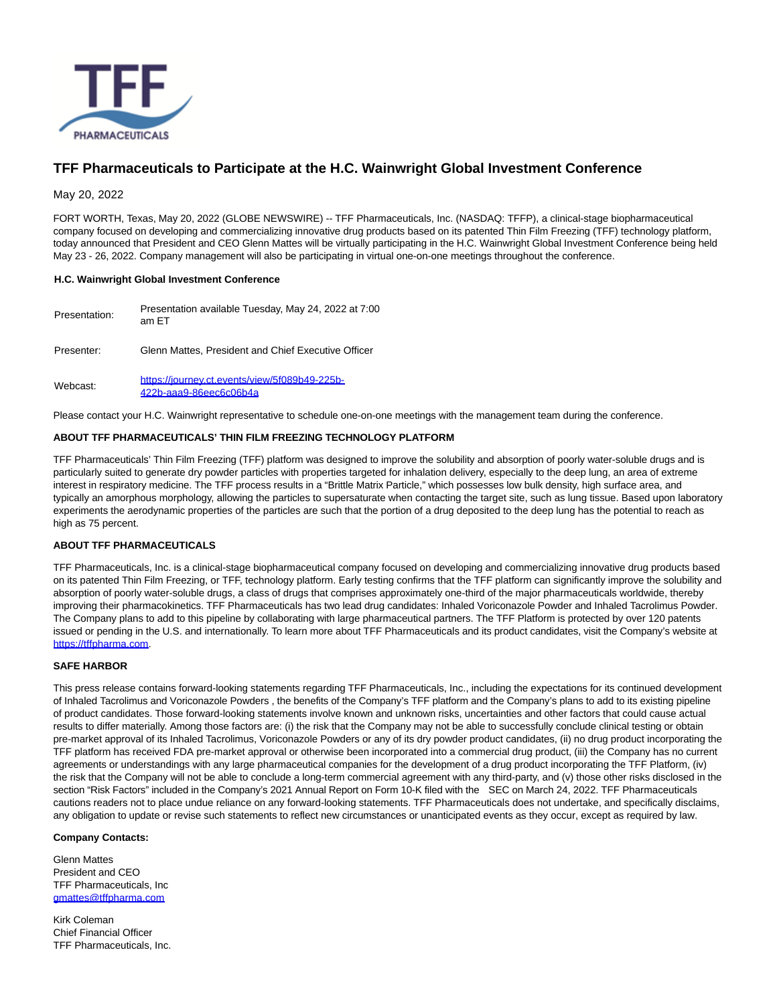

# **TFF Pharmaceuticals to Participate at the H.C. Wainwright Global Investment Conference**

## May 20, 2022

FORT WORTH, Texas, May 20, 2022 (GLOBE NEWSWIRE) -- TFF Pharmaceuticals, Inc. (NASDAQ: TFFP), a clinical-stage biopharmaceutical company focused on developing and commercializing innovative drug products based on its patented Thin Film Freezing (TFF) technology platform, today announced that President and CEO Glenn Mattes will be virtually participating in the H.C. Wainwright Global Investment Conference being held May 23 - 26, 2022. Company management will also be participating in virtual one-on-one meetings throughout the conference.

#### **H.C. Wainwright Global Investment Conference**

| Presentation: | Presentation available Tuesday, May 24, 2022 at 7:00<br>am ET           |
|---------------|-------------------------------------------------------------------------|
| Presenter:    | Glenn Mattes, President and Chief Executive Officer                     |
| Webcast:      | https://journey.ct.events/view/5f089b49-225b-<br>422b-aaa9-86eec6c06b4a |

Please contact your H.C. Wainwright representative to schedule one-on-one meetings with the management team during the conference.

#### **ABOUT TFF PHARMACEUTICALS' THIN FILM FREEZING TECHNOLOGY PLATFORM**

TFF Pharmaceuticals' Thin Film Freezing (TFF) platform was designed to improve the solubility and absorption of poorly water-soluble drugs and is particularly suited to generate dry powder particles with properties targeted for inhalation delivery, especially to the deep lung, an area of extreme interest in respiratory medicine. The TFF process results in a "Brittle Matrix Particle," which possesses low bulk density, high surface area, and typically an amorphous morphology, allowing the particles to supersaturate when contacting the target site, such as lung tissue. Based upon laboratory experiments the aerodynamic properties of the particles are such that the portion of a drug deposited to the deep lung has the potential to reach as high as 75 percent.

#### **ABOUT TFF PHARMACEUTICALS**

TFF Pharmaceuticals, Inc. is a clinical-stage biopharmaceutical company focused on developing and commercializing innovative drug products based on its patented Thin Film Freezing, or TFF, technology platform. Early testing confirms that the TFF platform can significantly improve the solubility and absorption of poorly water-soluble drugs, a class of drugs that comprises approximately one-third of the major pharmaceuticals worldwide, thereby improving their pharmacokinetics. TFF Pharmaceuticals has two lead drug candidates: Inhaled Voriconazole Powder and Inhaled Tacrolimus Powder. The Company plans to add to this pipeline by collaborating with large pharmaceutical partners. The TFF Platform is protected by over 120 patents issued or pending in the U.S. and internationally. To learn more about TFF Pharmaceuticals and its product candidates, visit the Company's website at [https://tffpharma.com.](https://www.globenewswire.com/Tracker?data=IDb5LRuV4TS6X0pdQjzGln-rN8wX99_7jsMco5RWQ9UFp-_K4-puZeGLRpHL1gXRa9X_6AZsvDCjZV6U3gQmMw==)

#### **SAFE HARBOR**

This press release contains forward-looking statements regarding TFF Pharmaceuticals, Inc., including the expectations for its continued development of Inhaled Tacrolimus and Voriconazole Powders , the benefits of the Company's TFF platform and the Company's plans to add to its existing pipeline of product candidates. Those forward-looking statements involve known and unknown risks, uncertainties and other factors that could cause actual results to differ materially. Among those factors are: (i) the risk that the Company may not be able to successfully conclude clinical testing or obtain pre-market approval of its Inhaled Tacrolimus, Voriconazole Powders or any of its dry powder product candidates, (ii) no drug product incorporating the TFF platform has received FDA pre-market approval or otherwise been incorporated into a commercial drug product, (iii) the Company has no current agreements or understandings with any large pharmaceutical companies for the development of a drug product incorporating the TFF Platform, (iv) the risk that the Company will not be able to conclude a long-term commercial agreement with any third-party, and (v) those other risks disclosed in the section "Risk Factors" included in the Company's 2021 Annual Report on Form 10-K filed with the SEC on March 24, 2022. TFF Pharmaceuticals cautions readers not to place undue reliance on any forward-looking statements. TFF Pharmaceuticals does not undertake, and specifically disclaims, any obligation to update or revise such statements to reflect new circumstances or unanticipated events as they occur, except as required by law.

## **Company Contacts:**

Glenn Mattes President and CEO TFF Pharmaceuticals, Inc [gmattes@tffpharma.com](https://www.globenewswire.com/Tracker?data=-wmqInoLFRzCn0K5Y1quQMty0riRipALdP-sWEwHNkqtc5RvgLJDmRCwXiB4rRLFMG0Rnh662vm1Ax3nvD_Nry8Cncfkb351u3iVZZBg2kU=)

Kirk Coleman Chief Financial Officer TFF Pharmaceuticals, Inc.